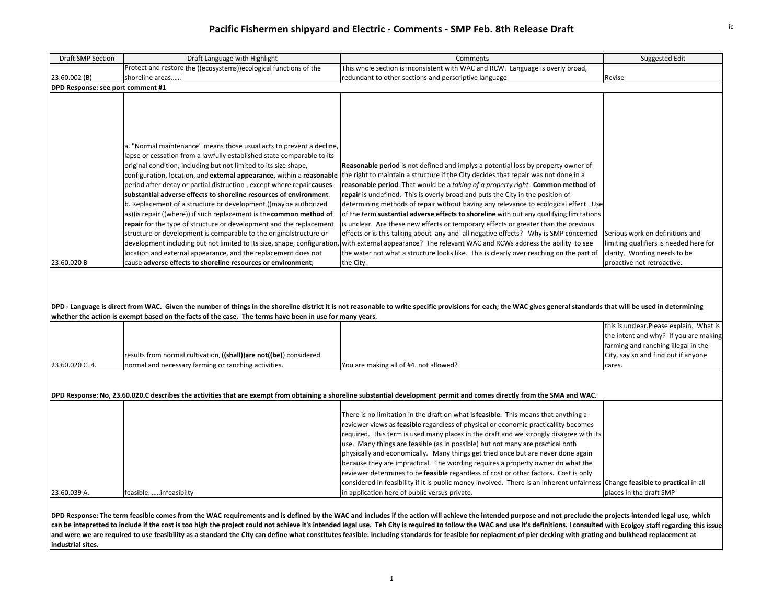## **Pacific Fishermen shipyard and Electric ‐ Comments ‐ SMP Feb. 8th Release Draft** ic

| Draft SMP Section                 | Draft Language with Highlight                                                                                                                                                                                                                                                                                                                                                                                                                                                                                                                                                                                                                                                                                                                                                                                                                                                                                                                    | Comments                                                                                                                                                                                                                                                                                                                                                                                                                                                                                                                                                                                                                                                                                                                                                                                                                                                                                                 | Suggested Edit                                                                                                                                                            |  |  |
|-----------------------------------|--------------------------------------------------------------------------------------------------------------------------------------------------------------------------------------------------------------------------------------------------------------------------------------------------------------------------------------------------------------------------------------------------------------------------------------------------------------------------------------------------------------------------------------------------------------------------------------------------------------------------------------------------------------------------------------------------------------------------------------------------------------------------------------------------------------------------------------------------------------------------------------------------------------------------------------------------|----------------------------------------------------------------------------------------------------------------------------------------------------------------------------------------------------------------------------------------------------------------------------------------------------------------------------------------------------------------------------------------------------------------------------------------------------------------------------------------------------------------------------------------------------------------------------------------------------------------------------------------------------------------------------------------------------------------------------------------------------------------------------------------------------------------------------------------------------------------------------------------------------------|---------------------------------------------------------------------------------------------------------------------------------------------------------------------------|--|--|
|                                   | Protect and restore the ((ecosystems))ecological functions of the                                                                                                                                                                                                                                                                                                                                                                                                                                                                                                                                                                                                                                                                                                                                                                                                                                                                                | This whole section is inconsistent with WAC and RCW. Language is overly broad,                                                                                                                                                                                                                                                                                                                                                                                                                                                                                                                                                                                                                                                                                                                                                                                                                           |                                                                                                                                                                           |  |  |
| 23.60.002 (B)                     | shoreline areas                                                                                                                                                                                                                                                                                                                                                                                                                                                                                                                                                                                                                                                                                                                                                                                                                                                                                                                                  | redundant to other sections and perscriptive language                                                                                                                                                                                                                                                                                                                                                                                                                                                                                                                                                                                                                                                                                                                                                                                                                                                    | Revise                                                                                                                                                                    |  |  |
| DPD Response: see port comment #1 |                                                                                                                                                                                                                                                                                                                                                                                                                                                                                                                                                                                                                                                                                                                                                                                                                                                                                                                                                  |                                                                                                                                                                                                                                                                                                                                                                                                                                                                                                                                                                                                                                                                                                                                                                                                                                                                                                          |                                                                                                                                                                           |  |  |
| 23.60.020 B                       | a. "Normal maintenance" means those usual acts to prevent a decline,<br>lapse or cessation from a lawfully established state comparable to its<br>original condition, including but not limited to its size shape,<br>configuration, location, and external appearance, within a reasonable<br>period after decay or partial distruction, except where repair causes<br>substantial adverse effects to shoreline resources of environment.<br>b. Replacement of a structure or development ((may be authorized<br>as)) is repair ((where)) if such replacement is the common method of<br>repair for the type of structure or development and the replacement<br>structure or development is comparable to the originalstructure or<br>development including but not limited to its size, shape, configuration<br>location and external appearance, and the replacement does not<br>cause adverse effects to shoreline resources or environment; | Reasonable period is not defined and implys a potential loss by property owner of<br>the right to maintain a structure if the City decides that repair was not done in a<br>reasonable period. That would be a taking of a property right. Common method of<br>repair is undefined. This is overly broad and puts the City in the position of<br>determining methods of repair without having any relevance to ecological effect. Use<br>of the term sustantial adverse effects to shoreline with out any qualifying limitations<br>is unclear. Are these new effects or temporary effects or greater than the previous<br>effects or is this talking about any and all negative effects? Why is SMP concerned<br>with external appearance? The relevant WAC and RCWs address the ability to see<br>the water not what a structure looks like. This is clearly over reaching on the part of<br>the City. | Serious work on definitions and<br>limiting qualifiers is needed here for<br>clarity. Wording needs to be<br>proactive not retroactive.                                   |  |  |
|                                   | whether the action is exempt based on the facts of the case. The terms have been in use for many years.                                                                                                                                                                                                                                                                                                                                                                                                                                                                                                                                                                                                                                                                                                                                                                                                                                          | DPD - Language is direct from WAC. Given the number of things in the shoreline district it is not reasonable to write specific provisions for each; the WAC gives general standards that will be used in determining                                                                                                                                                                                                                                                                                                                                                                                                                                                                                                                                                                                                                                                                                     |                                                                                                                                                                           |  |  |
| 23.60.020 C. 4.                   | results from normal cultivation, ((shall)) are not((be)) considered<br>normal and necessary farming or ranching activities.                                                                                                                                                                                                                                                                                                                                                                                                                                                                                                                                                                                                                                                                                                                                                                                                                      | You are making all of #4. not allowed?                                                                                                                                                                                                                                                                                                                                                                                                                                                                                                                                                                                                                                                                                                                                                                                                                                                                   | this is unclear. Please explain. What is<br>the intent and why? If you are making<br>farming and ranching illegal in the<br>City, say so and find out if anyone<br>cares. |  |  |
|                                   |                                                                                                                                                                                                                                                                                                                                                                                                                                                                                                                                                                                                                                                                                                                                                                                                                                                                                                                                                  |                                                                                                                                                                                                                                                                                                                                                                                                                                                                                                                                                                                                                                                                                                                                                                                                                                                                                                          |                                                                                                                                                                           |  |  |
|                                   | DPD Response: No, 23.60.020.C describes the activities that are exempt from obtaining a shoreline substantial development permit and comes directly from the SMA and WAC.                                                                                                                                                                                                                                                                                                                                                                                                                                                                                                                                                                                                                                                                                                                                                                        |                                                                                                                                                                                                                                                                                                                                                                                                                                                                                                                                                                                                                                                                                                                                                                                                                                                                                                          |                                                                                                                                                                           |  |  |
| 23.60.039 A.                      | feasibleinfeasibilty                                                                                                                                                                                                                                                                                                                                                                                                                                                                                                                                                                                                                                                                                                                                                                                                                                                                                                                             | There is no limitation in the draft on what is <b>feasible</b> . This means that anything a<br>reviewer views as <b>feasible</b> regardless of physical or economic practicallity becomes<br>required. This term is used many places in the draft and we strongly disagree with its<br>use. Many things are feasible (as in possible) but not many are practical both<br>physically and economically. Many things get tried once but are never done again<br>because they are impractical. The wording requires a property owner do what the<br>reviewer determines to be feasible regardless of cost or other factors. Cost is only<br>considered in feasibility if it is public money involved. There is an inherent unfairness Change <b>feasible</b> to <b>practical</b> in all<br>in application here of public versus private.                                                                     | places in the draft SMP                                                                                                                                                   |  |  |
|                                   |                                                                                                                                                                                                                                                                                                                                                                                                                                                                                                                                                                                                                                                                                                                                                                                                                                                                                                                                                  |                                                                                                                                                                                                                                                                                                                                                                                                                                                                                                                                                                                                                                                                                                                                                                                                                                                                                                          |                                                                                                                                                                           |  |  |

DPD Response: The term feasible comes from the WAC requirements and is defined by the WAC and includes if the action will achieve the intended purpose and not preclude the projects intended legal use, which can be intepretted to include if the cost is too high the project could not achieve it's intended legal use. Teh City is required to follow the WAC and use it's definitions. I consulted with Ecolgoy staff regarding this is and were we are required to use feasibility as a standard the City can define what constitutes feasible. Including standards for feasible for replacment of pier decking with grating and bulkhead replacement at **industrial sites.**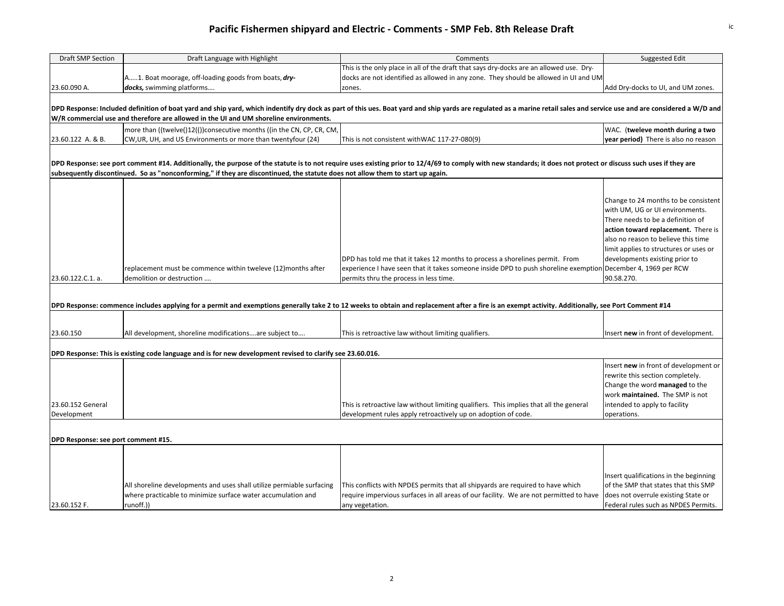| Draft SMP Section                                                                                                                                                                                                                                                                                                 | Draft Language with Highlight                                                                                                  | Comments                                                                                                                                                                                                         | Suggested Edit                                                                                                                                                                                                                                                                                                   |  |  |
|-------------------------------------------------------------------------------------------------------------------------------------------------------------------------------------------------------------------------------------------------------------------------------------------------------------------|--------------------------------------------------------------------------------------------------------------------------------|------------------------------------------------------------------------------------------------------------------------------------------------------------------------------------------------------------------|------------------------------------------------------------------------------------------------------------------------------------------------------------------------------------------------------------------------------------------------------------------------------------------------------------------|--|--|
|                                                                                                                                                                                                                                                                                                                   |                                                                                                                                | This is the only place in all of the draft that says dry-docks are an allowed use. Dry-                                                                                                                          |                                                                                                                                                                                                                                                                                                                  |  |  |
|                                                                                                                                                                                                                                                                                                                   | A1. Boat moorage, off-loading goods from boats, dry-                                                                           | docks are not identified as allowed in any zone. They should be allowed in UI and UM                                                                                                                             |                                                                                                                                                                                                                                                                                                                  |  |  |
| 23.60.090 A.                                                                                                                                                                                                                                                                                                      | docks, swimming platforms                                                                                                      | zones.                                                                                                                                                                                                           | Add Dry-docks to UI, and UM zones.                                                                                                                                                                                                                                                                               |  |  |
| DPD Response: Included definition of boat yard and ship yard, which indentify dry dock as part of this ues. Boat yard and ship yards are regulated as a marine retail sales and service use and are considered a W/D and<br>W/R commercial use and therefore are allowed in the UI and UM shoreline environments. |                                                                                                                                |                                                                                                                                                                                                                  |                                                                                                                                                                                                                                                                                                                  |  |  |
|                                                                                                                                                                                                                                                                                                                   | more than ((twelve()12(())consecutive months ((in the CN, CP, CR, CM,                                                          |                                                                                                                                                                                                                  | WAC. (tweleve month during a two                                                                                                                                                                                                                                                                                 |  |  |
| 23.60.122 A. & B.                                                                                                                                                                                                                                                                                                 | CW, UR, UH, and US Environments or more than twentyfour (24)                                                                   | This is not consistent with WAC 117-27-080(9)                                                                                                                                                                    | year period) There is also no reason                                                                                                                                                                                                                                                                             |  |  |
|                                                                                                                                                                                                                                                                                                                   | subsequently discontinued. So as "nonconforming," if they are discontinued, the statute does not allow them to start up again. | DPD Response: see port comment #14. Additionally, the purpose of the statute is to not require uses existing prior to 12/4/69 to comply with new standards; it does not protect or discuss such uses if they are |                                                                                                                                                                                                                                                                                                                  |  |  |
| 23.60.122.C.1. a.                                                                                                                                                                                                                                                                                                 | replacement must be commence within tweleve (12)months after<br>demolition or destruction                                      | DPD has told me that it takes 12 months to process a shorelines permit. From<br>experience I have seen that it takes someone inside DPD to push shoreline exemption<br>permits thru the process in less time.    | Change to 24 months to be consistent<br>with UM, UG or UI environments.<br>There needs to be a definition of<br>action toward replacement. There is<br>also no reason to believe this time<br>limit applies to structures or uses or<br>developments existing prior to<br>December 4, 1969 per RCW<br>90.58.270. |  |  |
| DPD Response: commence includes applying for a permit and exemptions generally take 2 to 12 weeks to obtain and replacement after a fire is an exempt activity. Additionally, see Port Comment #14                                                                                                                |                                                                                                                                |                                                                                                                                                                                                                  |                                                                                                                                                                                                                                                                                                                  |  |  |
|                                                                                                                                                                                                                                                                                                                   |                                                                                                                                |                                                                                                                                                                                                                  |                                                                                                                                                                                                                                                                                                                  |  |  |
| 23.60.150                                                                                                                                                                                                                                                                                                         | All development, shoreline modificationsare subject to                                                                         | This is retroactive law without limiting qualifiers.                                                                                                                                                             | Insert new in front of development.                                                                                                                                                                                                                                                                              |  |  |
| DPD Response: This is existing code language and is for new development revised to clarify see 23.60.016.                                                                                                                                                                                                         |                                                                                                                                |                                                                                                                                                                                                                  |                                                                                                                                                                                                                                                                                                                  |  |  |
| 23.60.152 General<br>Development                                                                                                                                                                                                                                                                                  |                                                                                                                                | This is retroactive law without limiting qualifiers. This implies that all the general<br>development rules apply retroactively up on adoption of code.                                                          | Insert new in front of development or<br>rewrite this section completely.<br>Change the word managed to the<br>work maintained. The SMP is not<br>intended to apply to facility<br>operations.                                                                                                                   |  |  |
|                                                                                                                                                                                                                                                                                                                   |                                                                                                                                |                                                                                                                                                                                                                  |                                                                                                                                                                                                                                                                                                                  |  |  |
| DPD Response: see port comment #15.                                                                                                                                                                                                                                                                               |                                                                                                                                |                                                                                                                                                                                                                  |                                                                                                                                                                                                                                                                                                                  |  |  |
|                                                                                                                                                                                                                                                                                                                   | All shoreline developments and uses shall utilize permiable surfacing                                                          | This conflicts with NPDES permits that all shipyards are required to have which                                                                                                                                  | Insert qualifications in the beginning<br>of the SMP that states that this SMP                                                                                                                                                                                                                                   |  |  |
|                                                                                                                                                                                                                                                                                                                   | where practicable to minimize surface water accumulation and                                                                   | require impervious surfaces in all areas of our facility. We are not permitted to have                                                                                                                           | does not overrule existing State or                                                                                                                                                                                                                                                                              |  |  |
| 23.60.152 F.                                                                                                                                                                                                                                                                                                      | runoff.))                                                                                                                      | any vegetation.                                                                                                                                                                                                  | Federal rules such as NPDES Permits.                                                                                                                                                                                                                                                                             |  |  |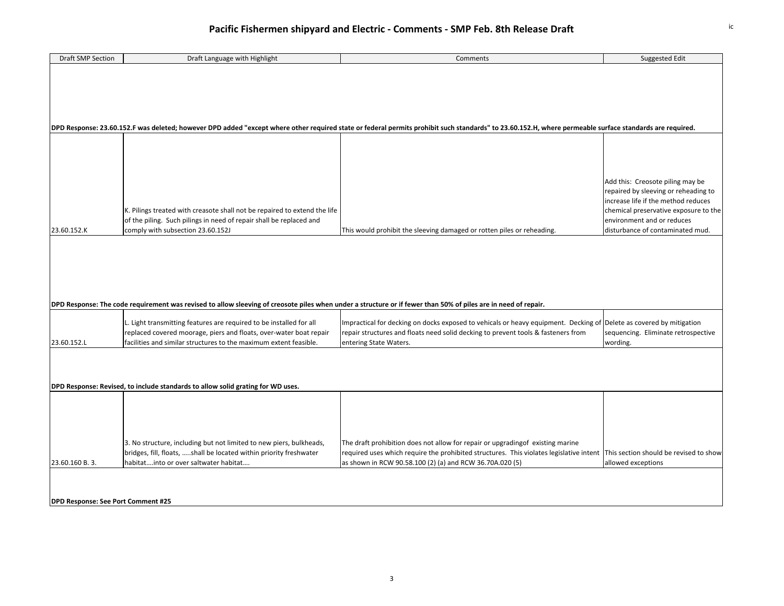| Draft SMP Section                                                               | Draft Language with Highlight                                                                                                                                  | Comments                                                                                                                                                                                                | Suggested Edit                        |  |
|---------------------------------------------------------------------------------|----------------------------------------------------------------------------------------------------------------------------------------------------------------|---------------------------------------------------------------------------------------------------------------------------------------------------------------------------------------------------------|---------------------------------------|--|
|                                                                                 |                                                                                                                                                                |                                                                                                                                                                                                         |                                       |  |
|                                                                                 |                                                                                                                                                                |                                                                                                                                                                                                         |                                       |  |
|                                                                                 |                                                                                                                                                                |                                                                                                                                                                                                         |                                       |  |
|                                                                                 |                                                                                                                                                                |                                                                                                                                                                                                         |                                       |  |
|                                                                                 |                                                                                                                                                                |                                                                                                                                                                                                         |                                       |  |
|                                                                                 |                                                                                                                                                                |                                                                                                                                                                                                         |                                       |  |
|                                                                                 |                                                                                                                                                                |                                                                                                                                                                                                         |                                       |  |
|                                                                                 |                                                                                                                                                                | DPD Response: 23.60.152.F was deleted; however DPD added "except where other required state or federal permits prohibit such standards" to 23.60.152.H, where permeable surface standards are required. |                                       |  |
|                                                                                 |                                                                                                                                                                |                                                                                                                                                                                                         |                                       |  |
|                                                                                 |                                                                                                                                                                |                                                                                                                                                                                                         |                                       |  |
|                                                                                 |                                                                                                                                                                |                                                                                                                                                                                                         |                                       |  |
|                                                                                 |                                                                                                                                                                |                                                                                                                                                                                                         |                                       |  |
|                                                                                 |                                                                                                                                                                |                                                                                                                                                                                                         |                                       |  |
|                                                                                 |                                                                                                                                                                |                                                                                                                                                                                                         |                                       |  |
|                                                                                 |                                                                                                                                                                |                                                                                                                                                                                                         | Add this: Creosote piling may be      |  |
|                                                                                 |                                                                                                                                                                |                                                                                                                                                                                                         | repaired by sleeving or reheading to  |  |
|                                                                                 |                                                                                                                                                                |                                                                                                                                                                                                         | increase life if the method reduces   |  |
|                                                                                 | K. Pilings treated with creasote shall not be repaired to extend the life                                                                                      |                                                                                                                                                                                                         | chemical preservative exposure to the |  |
|                                                                                 | of the piling. Such pilings in need of repair shall be replaced and                                                                                            |                                                                                                                                                                                                         | environment and or reduces            |  |
| 23.60.152.K                                                                     | comply with subsection 23.60.152J                                                                                                                              | This would prohibit the sleeving damaged or rotten piles or reheading.                                                                                                                                  | disturbance of contaminated mud.      |  |
|                                                                                 |                                                                                                                                                                |                                                                                                                                                                                                         |                                       |  |
|                                                                                 |                                                                                                                                                                |                                                                                                                                                                                                         |                                       |  |
|                                                                                 |                                                                                                                                                                |                                                                                                                                                                                                         |                                       |  |
|                                                                                 |                                                                                                                                                                |                                                                                                                                                                                                         |                                       |  |
|                                                                                 |                                                                                                                                                                |                                                                                                                                                                                                         |                                       |  |
|                                                                                 |                                                                                                                                                                |                                                                                                                                                                                                         |                                       |  |
|                                                                                 |                                                                                                                                                                |                                                                                                                                                                                                         |                                       |  |
|                                                                                 |                                                                                                                                                                |                                                                                                                                                                                                         |                                       |  |
|                                                                                 | DPD Response: The code requirement was revised to allow sleeving of creosote piles when under a structure or if fewer than 50% of piles are in need of repair. |                                                                                                                                                                                                         |                                       |  |
|                                                                                 |                                                                                                                                                                |                                                                                                                                                                                                         |                                       |  |
|                                                                                 | L. Light transmitting features are required to be installed for all                                                                                            | Impractical for decking on docks exposed to vehicals or heavy equipment. Decking of Delete as covered by mitigation                                                                                     |                                       |  |
|                                                                                 | replaced covered moorage, piers and floats, over-water boat repair                                                                                             | repair structures and floats need solid decking to prevent tools & fasteners from                                                                                                                       | sequencing. Eliminate retrospective   |  |
| 23.60.152.L                                                                     | facilities and similar structures to the maximum extent feasible.                                                                                              | entering State Waters.                                                                                                                                                                                  | wording.                              |  |
|                                                                                 |                                                                                                                                                                |                                                                                                                                                                                                         |                                       |  |
|                                                                                 |                                                                                                                                                                |                                                                                                                                                                                                         |                                       |  |
|                                                                                 |                                                                                                                                                                |                                                                                                                                                                                                         |                                       |  |
|                                                                                 |                                                                                                                                                                |                                                                                                                                                                                                         |                                       |  |
|                                                                                 |                                                                                                                                                                |                                                                                                                                                                                                         |                                       |  |
| DPD Response: Revised, to include standards to allow solid grating for WD uses. |                                                                                                                                                                |                                                                                                                                                                                                         |                                       |  |
|                                                                                 |                                                                                                                                                                |                                                                                                                                                                                                         |                                       |  |
|                                                                                 |                                                                                                                                                                |                                                                                                                                                                                                         |                                       |  |
|                                                                                 |                                                                                                                                                                |                                                                                                                                                                                                         |                                       |  |
|                                                                                 |                                                                                                                                                                |                                                                                                                                                                                                         |                                       |  |
|                                                                                 |                                                                                                                                                                |                                                                                                                                                                                                         |                                       |  |
|                                                                                 | 3. No structure, including but not limited to new piers, bulkheads,                                                                                            | The draft prohibition does not allow for repair or upgradingof existing marine                                                                                                                          |                                       |  |
|                                                                                 | bridges, fill, floats, shall be located within priority freshwater                                                                                             | required uses which require the prohibited structures. This violates legislative intent This section should be revised to show                                                                          |                                       |  |
|                                                                                 |                                                                                                                                                                |                                                                                                                                                                                                         |                                       |  |
| 23.60.160 B. 3.                                                                 | habitatinto or over saltwater habitat                                                                                                                          | as shown in RCW 90.58.100 (2) (a) and RCW 36.70A.020 (5)                                                                                                                                                | allowed exceptions                    |  |
|                                                                                 |                                                                                                                                                                |                                                                                                                                                                                                         |                                       |  |
|                                                                                 |                                                                                                                                                                |                                                                                                                                                                                                         |                                       |  |
|                                                                                 |                                                                                                                                                                |                                                                                                                                                                                                         |                                       |  |
| DPD Response: See Port Comment #25                                              |                                                                                                                                                                |                                                                                                                                                                                                         |                                       |  |
|                                                                                 |                                                                                                                                                                |                                                                                                                                                                                                         |                                       |  |
|                                                                                 |                                                                                                                                                                |                                                                                                                                                                                                         |                                       |  |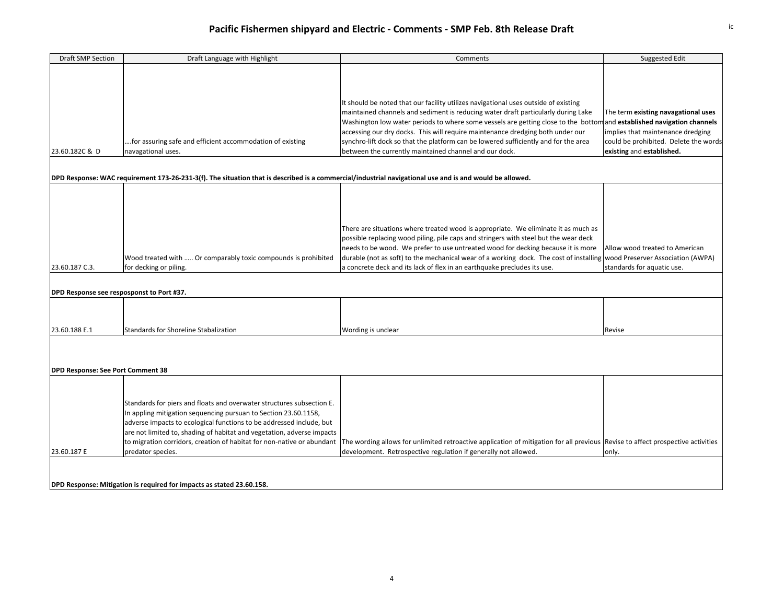| Draft SMP Section                         | Draft Language with Highlight                                                                                                                           | Comments                                                                                                                        | <b>Suggested Edit</b>                 |  |
|-------------------------------------------|---------------------------------------------------------------------------------------------------------------------------------------------------------|---------------------------------------------------------------------------------------------------------------------------------|---------------------------------------|--|
|                                           |                                                                                                                                                         |                                                                                                                                 |                                       |  |
|                                           |                                                                                                                                                         |                                                                                                                                 |                                       |  |
|                                           |                                                                                                                                                         |                                                                                                                                 |                                       |  |
|                                           |                                                                                                                                                         | It should be noted that our facility utilizes navigational uses outside of existing                                             |                                       |  |
|                                           |                                                                                                                                                         | maintained channels and sediment is reducing water draft particularly during Lake                                               | The term existing navagational uses   |  |
|                                           |                                                                                                                                                         | Washington low water periods to where some vessels are getting close to the bottomand established navigation channels           |                                       |  |
|                                           |                                                                                                                                                         | accessing our dry docks. This will require maintenance dredging both under our                                                  | implies that maintenance dredging     |  |
|                                           | for assuring safe and efficient accommodation of existing                                                                                               | synchro-lift dock so that the platform can be lowered sufficiently and for the area                                             | could be prohibited. Delete the words |  |
| 23.60.182C & D                            | navagational uses.                                                                                                                                      | between the currently maintained channel and our dock.                                                                          | existing and established.             |  |
|                                           |                                                                                                                                                         |                                                                                                                                 |                                       |  |
|                                           |                                                                                                                                                         |                                                                                                                                 |                                       |  |
|                                           | DPD Response: WAC requirement 173-26-231-3(f). The situation that is described is a commercial/industrial navigational use and is and would be allowed. |                                                                                                                                 |                                       |  |
|                                           |                                                                                                                                                         |                                                                                                                                 |                                       |  |
|                                           |                                                                                                                                                         |                                                                                                                                 |                                       |  |
|                                           |                                                                                                                                                         |                                                                                                                                 |                                       |  |
|                                           |                                                                                                                                                         |                                                                                                                                 |                                       |  |
|                                           |                                                                                                                                                         | There are situations where treated wood is appropriate. We eliminate it as much as                                              |                                       |  |
|                                           |                                                                                                                                                         | possible replacing wood piling, pile caps and stringers with steel but the wear deck                                            |                                       |  |
|                                           |                                                                                                                                                         | needs to be wood. We prefer to use untreated wood for decking because it is more                                                | Allow wood treated to American        |  |
|                                           | Wood treated with  Or comparably toxic compounds is prohibited                                                                                          | durable (not as soft) to the mechanical wear of a working dock. The cost of installing                                          | wood Preserver Association (AWPA)     |  |
| 23.60.187 C.3.                            | for decking or piling.                                                                                                                                  | a concrete deck and its lack of flex in an earthquake precludes its use.                                                        | standards for aquatic use.            |  |
|                                           |                                                                                                                                                         |                                                                                                                                 |                                       |  |
| DPD Response see resposponst to Port #37. |                                                                                                                                                         |                                                                                                                                 |                                       |  |
|                                           |                                                                                                                                                         |                                                                                                                                 |                                       |  |
|                                           |                                                                                                                                                         |                                                                                                                                 |                                       |  |
|                                           |                                                                                                                                                         |                                                                                                                                 |                                       |  |
| 23.60.188 E.1                             | Standards for Shoreline Stabalization                                                                                                                   | Wording is unclear                                                                                                              | Revise                                |  |
|                                           |                                                                                                                                                         |                                                                                                                                 |                                       |  |
|                                           |                                                                                                                                                         |                                                                                                                                 |                                       |  |
|                                           |                                                                                                                                                         |                                                                                                                                 |                                       |  |
| <b>DPD Response: See Port Comment 38</b>  |                                                                                                                                                         |                                                                                                                                 |                                       |  |
|                                           |                                                                                                                                                         |                                                                                                                                 |                                       |  |
|                                           |                                                                                                                                                         |                                                                                                                                 |                                       |  |
|                                           | Standards for piers and floats and overwater structures subsection E.                                                                                   |                                                                                                                                 |                                       |  |
|                                           | In appling mitigation sequencing pursuan to Section 23.60.1158,                                                                                         |                                                                                                                                 |                                       |  |
|                                           | adverse impacts to ecological functions to be addressed include, but                                                                                    |                                                                                                                                 |                                       |  |
|                                           | are not limited to, shading of habitat and vegetation, adverse impacts                                                                                  |                                                                                                                                 |                                       |  |
|                                           | to migration corridors, creation of habitat for non-native or abundant                                                                                  | The wording allows for unlimited retroactive application of mitigation for all previous Revise to affect prospective activities |                                       |  |
| 23.60.187 E                               | predator species.                                                                                                                                       | development. Retrospective regulation if generally not allowed.                                                                 | only.                                 |  |
|                                           |                                                                                                                                                         |                                                                                                                                 |                                       |  |
|                                           |                                                                                                                                                         |                                                                                                                                 |                                       |  |
|                                           | DPD Response: Mitigation is required for impacts as stated 23.60.158.                                                                                   |                                                                                                                                 |                                       |  |
|                                           |                                                                                                                                                         |                                                                                                                                 |                                       |  |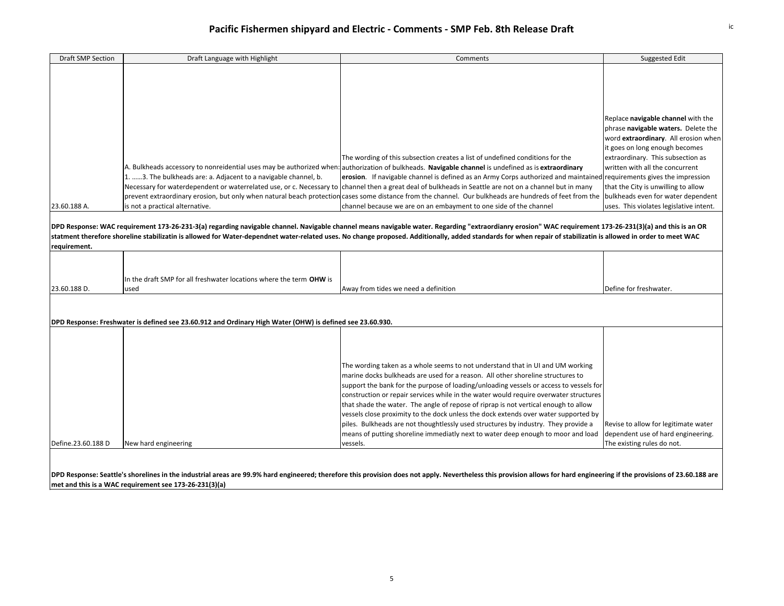| <b>Draft SMP Section</b>     | Draft Language with Highlight                                                                                                     | Comments                                                                                                                                                                                                                                                                                                                                                                                                                                                                                                                                                                                                                                                                                                                                                                                                                                                                                                                                                                                                                                                                                                                                                                                                                   | Suggested Edit                                                                                                                                                                                                                                                                                                |
|------------------------------|-----------------------------------------------------------------------------------------------------------------------------------|----------------------------------------------------------------------------------------------------------------------------------------------------------------------------------------------------------------------------------------------------------------------------------------------------------------------------------------------------------------------------------------------------------------------------------------------------------------------------------------------------------------------------------------------------------------------------------------------------------------------------------------------------------------------------------------------------------------------------------------------------------------------------------------------------------------------------------------------------------------------------------------------------------------------------------------------------------------------------------------------------------------------------------------------------------------------------------------------------------------------------------------------------------------------------------------------------------------------------|---------------------------------------------------------------------------------------------------------------------------------------------------------------------------------------------------------------------------------------------------------------------------------------------------------------|
| 23.60.188 A.<br>requirement. | 1. 3. The bulkheads are: a. Adjacent to a navigable channel, b.<br>is not a practical alternative.                                | The wording of this subsection creates a list of undefined conditions for the<br>A. Bulkheads accessory to nonreidential uses may be authorized when: authorization of bulkheads. Navigable channel is undefined as is extraordinary<br>erosion. If navigable channel is defined as an Army Corps authorized and maintained requirements gives the impression<br>Necessary for waterdependent or waterrelated use, or c. Necessary to channel then a great deal of bulkheads in Seattle are not on a channel but in many<br>prevent extraordinary erosion, but only when natural beach protection cases some distance from the channel. Our bulkheads are hundreds of feet from the  bulkheads even for water dependent<br>channel because we are on an embayment to one side of the channel<br>DPD Response: WAC requirement 173-26-231-3(a) regarding navigable channel. Navigable channel means navigable water. Regarding "extraordianry erosion" WAC requirement 173-26-231(3)(a) and this is an OR<br>statment therefore shoreline stabilizatin is allowed for Water-dependnet water-related uses. No change proposed. Additionally, added standards for when repair of stabilizatin is allowed in order to meet WAC | Replace navigable channel with the<br>phrase navigable waters. Delete the<br>word extraordinary. All erosion when<br>it goes on long enough becomes<br>extraordinary. This subsection as<br>written with all the concurrent<br>that the City is unwilling to allow<br>uses. This violates legislative intent. |
| 23.60.188 D.                 | In the draft SMP for all freshwater locations where the term OHW is<br>used                                                       | Away from tides we need a definition                                                                                                                                                                                                                                                                                                                                                                                                                                                                                                                                                                                                                                                                                                                                                                                                                                                                                                                                                                                                                                                                                                                                                                                       | Define for freshwater.                                                                                                                                                                                                                                                                                        |
| Define.23.60.188 D           | DPD Response: Freshwater is defined see 23.60.912 and Ordinary High Water (OHW) is defined see 23.60.930.<br>New hard engineering | The wording taken as a whole seems to not understand that in UI and UM working<br>marine docks bulkheads are used for a reason. All other shoreline structures to<br>support the bank for the purpose of loading/unloading vessels or access to vessels for<br>construction or repair services while in the water would require overwater structures<br>that shade the water. The angle of repose of riprap is not vertical enough to allow<br>vessels close proximity to the dock unless the dock extends over water supported by<br>piles. Bulkheads are not thoughtlessly used structures by industry. They provide a<br>means of putting shoreline immediatly next to water deep enough to moor and load<br>vessels.                                                                                                                                                                                                                                                                                                                                                                                                                                                                                                   | Revise to allow for legitimate water<br>dependent use of hard engineering.<br>The existing rules do not.                                                                                                                                                                                                      |

DPD Response: Seattle's shorelines in the industrial areas are 99.9% hard engineered; therefore this provision does not apply. Nevertheless this provision allows for hard engineering if the provisions of 23.60.188 are **met and this is <sup>a</sup> WAC requirement see 173‐26‐231(3)(a)**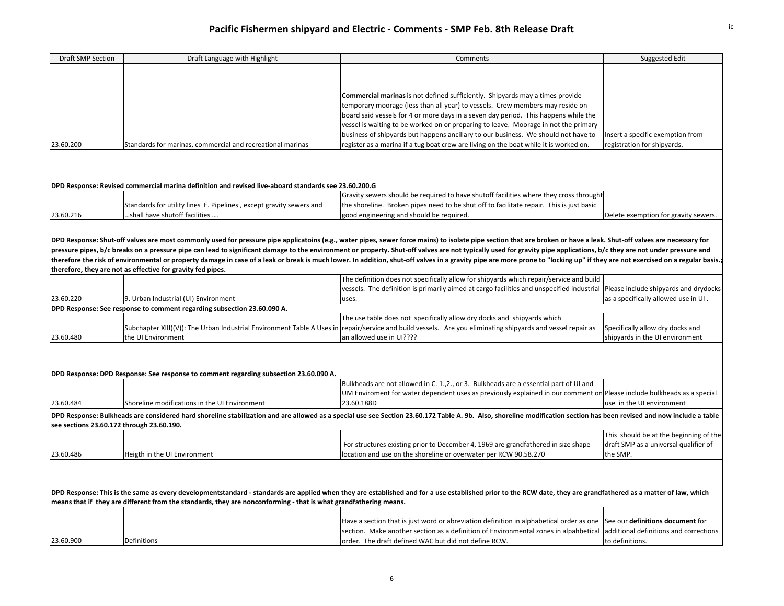| Draft SMP Section                                                                                                                                                                                               | Draft Language with Highlight                                                                        | Comments                                                                                                                                                                                                                     | Suggested Edit                                                      |  |
|-----------------------------------------------------------------------------------------------------------------------------------------------------------------------------------------------------------------|------------------------------------------------------------------------------------------------------|------------------------------------------------------------------------------------------------------------------------------------------------------------------------------------------------------------------------------|---------------------------------------------------------------------|--|
|                                                                                                                                                                                                                 |                                                                                                      |                                                                                                                                                                                                                              |                                                                     |  |
|                                                                                                                                                                                                                 |                                                                                                      |                                                                                                                                                                                                                              |                                                                     |  |
|                                                                                                                                                                                                                 |                                                                                                      |                                                                                                                                                                                                                              |                                                                     |  |
|                                                                                                                                                                                                                 |                                                                                                      | Commercial marinas is not defined sufficiently. Shipyards may a times provide                                                                                                                                                |                                                                     |  |
|                                                                                                                                                                                                                 |                                                                                                      | temporary moorage (less than all year) to vessels. Crew members may reside on                                                                                                                                                |                                                                     |  |
|                                                                                                                                                                                                                 |                                                                                                      | board said vessels for 4 or more days in a seven day period. This happens while the                                                                                                                                          |                                                                     |  |
|                                                                                                                                                                                                                 |                                                                                                      | vessel is waiting to be worked on or preparing to leave. Moorage in not the primary                                                                                                                                          |                                                                     |  |
|                                                                                                                                                                                                                 |                                                                                                      | business of shipyards but happens ancillary to our business. We should not have to                                                                                                                                           | Insert a specific exemption from                                    |  |
| 23.60.200                                                                                                                                                                                                       | Standards for marinas, commercial and recreational marinas                                           | register as a marina if a tug boat crew are living on the boat while it is worked on.                                                                                                                                        | registration for shipyards.                                         |  |
|                                                                                                                                                                                                                 |                                                                                                      |                                                                                                                                                                                                                              |                                                                     |  |
|                                                                                                                                                                                                                 |                                                                                                      |                                                                                                                                                                                                                              |                                                                     |  |
|                                                                                                                                                                                                                 |                                                                                                      |                                                                                                                                                                                                                              |                                                                     |  |
|                                                                                                                                                                                                                 | DPD Response: Revised commercial marina definition and revised live-aboard standards see 23.60.200.G |                                                                                                                                                                                                                              |                                                                     |  |
|                                                                                                                                                                                                                 |                                                                                                      | Gravity sewers should be required to have shutoff facilities where they cross throught                                                                                                                                       |                                                                     |  |
|                                                                                                                                                                                                                 | Standards for utility lines E. Pipelines, except gravity sewers and                                  | the shoreline. Broken pipes need to be shut off to facilitate repair. This is just basic                                                                                                                                     |                                                                     |  |
| 23.60.216                                                                                                                                                                                                       | shall have shutoff facilities                                                                        | good engineering and should be required.                                                                                                                                                                                     | Delete exemption for gravity sewers.                                |  |
|                                                                                                                                                                                                                 |                                                                                                      |                                                                                                                                                                                                                              |                                                                     |  |
|                                                                                                                                                                                                                 |                                                                                                      |                                                                                                                                                                                                                              |                                                                     |  |
|                                                                                                                                                                                                                 |                                                                                                      | DPD Response: Shut-off valves are most commonly used for pressure pipe applicatoins (e.g., water pipes, sewer force mains) to isolate pipe section that are broken or have a leak. Shut-off valves are necessary for         |                                                                     |  |
|                                                                                                                                                                                                                 |                                                                                                      | pressure pipes, b/c breaks on a pressure pipe can lead to significant damage to the environment or property. Shut-off valves are not typically used for gravity pipe applications, b/c they are not under pressure and       |                                                                     |  |
|                                                                                                                                                                                                                 |                                                                                                      | therefore the risk of environmental or property damage in case of a leak or break is much lower. In addition, shut-off valves in a gravity pipe are more prone to "locking up" if they are not exercised on a regular basis. |                                                                     |  |
|                                                                                                                                                                                                                 | therefore, they are not as effective for gravity fed pipes.                                          |                                                                                                                                                                                                                              |                                                                     |  |
|                                                                                                                                                                                                                 |                                                                                                      | The definition does not specifically allow for shipyards which repair/service and build                                                                                                                                      |                                                                     |  |
|                                                                                                                                                                                                                 |                                                                                                      | vessels. The definition is primarily aimed at cargo facilities and unspecified industrial Please include shipyards and drydocks                                                                                              |                                                                     |  |
| 23.60.220                                                                                                                                                                                                       | 9. Urban Industrial (UI) Environment                                                                 | uses.                                                                                                                                                                                                                        | as a specifically allowed use in UI.                                |  |
|                                                                                                                                                                                                                 | DPD Response: See response to comment regarding subsection 23.60.090 A.                              |                                                                                                                                                                                                                              |                                                                     |  |
|                                                                                                                                                                                                                 |                                                                                                      | The use table does not specifically allow dry docks and shipyards which                                                                                                                                                      |                                                                     |  |
| 23.60.480                                                                                                                                                                                                       | the UI Environment                                                                                   | Subchapter XIII((V)): The Urban Industrial Environment Table A Uses in repair/service and build vessels. Are you eliminating shipyards and vessel repair as<br>an allowed use in UI????                                      | Specifically allow dry docks and<br>shipyards in the UI environment |  |
|                                                                                                                                                                                                                 |                                                                                                      |                                                                                                                                                                                                                              |                                                                     |  |
|                                                                                                                                                                                                                 |                                                                                                      |                                                                                                                                                                                                                              |                                                                     |  |
|                                                                                                                                                                                                                 |                                                                                                      |                                                                                                                                                                                                                              |                                                                     |  |
|                                                                                                                                                                                                                 | DPD Response: DPD Response: See response to comment regarding subsection 23.60.090 A.                |                                                                                                                                                                                                                              |                                                                     |  |
|                                                                                                                                                                                                                 |                                                                                                      | Bulkheads are not allowed in C. 1., 2., or 3. Bulkheads are a essential part of UI and                                                                                                                                       |                                                                     |  |
|                                                                                                                                                                                                                 |                                                                                                      | UM Enviroment for water dependent uses as previously explained in our comment on Please include bulkheads as a special                                                                                                       |                                                                     |  |
| 23.60.484                                                                                                                                                                                                       | Shoreline modifications in the UI Environment                                                        | 23.60.188D                                                                                                                                                                                                                   | use in the UI environment                                           |  |
|                                                                                                                                                                                                                 |                                                                                                      | DPD Response: Bulkheads are considered hard shoreline stabilization and are allowed as a special use see Section 23.60.172 Table A. 9b. Also, shoreline modification section has been revised and now include a table        |                                                                     |  |
| see sections 23.60.172 through 23.60.190.                                                                                                                                                                       |                                                                                                      |                                                                                                                                                                                                                              |                                                                     |  |
|                                                                                                                                                                                                                 |                                                                                                      |                                                                                                                                                                                                                              | This should be at the beginning of the                              |  |
|                                                                                                                                                                                                                 |                                                                                                      | For structures existing prior to December 4, 1969 are grandfathered in size shape                                                                                                                                            | draft SMP as a universal qualifier of                               |  |
| 23.60.486                                                                                                                                                                                                       | Heigth in the UI Environment                                                                         | location and use on the shoreline or overwater per RCW 90.58.270                                                                                                                                                             | the SMP.                                                            |  |
|                                                                                                                                                                                                                 |                                                                                                      |                                                                                                                                                                                                                              |                                                                     |  |
|                                                                                                                                                                                                                 |                                                                                                      |                                                                                                                                                                                                                              |                                                                     |  |
|                                                                                                                                                                                                                 |                                                                                                      |                                                                                                                                                                                                                              |                                                                     |  |
| DPD Response: This is the same as every developmentstandard - standards are applied when they are established and for a use established prior to the RCW date, they are grandfathered as a matter of law, which |                                                                                                      |                                                                                                                                                                                                                              |                                                                     |  |
| means that if they are different from the standards, they are nonconforming - that is what grandfathering means.                                                                                                |                                                                                                      |                                                                                                                                                                                                                              |                                                                     |  |
|                                                                                                                                                                                                                 |                                                                                                      |                                                                                                                                                                                                                              |                                                                     |  |
|                                                                                                                                                                                                                 |                                                                                                      | Have a section that is just word or abreviation definition in alphabetical order as one                                                                                                                                      | See our definitions document for                                    |  |
|                                                                                                                                                                                                                 |                                                                                                      | section. Make another section as a definition of Environmental zones in alpahbetical                                                                                                                                         | additional definitions and corrections                              |  |
| 23.60.900                                                                                                                                                                                                       | Definitions                                                                                          | order. The draft defined WAC but did not define RCW.                                                                                                                                                                         | to definitions.                                                     |  |
|                                                                                                                                                                                                                 |                                                                                                      |                                                                                                                                                                                                                              |                                                                     |  |